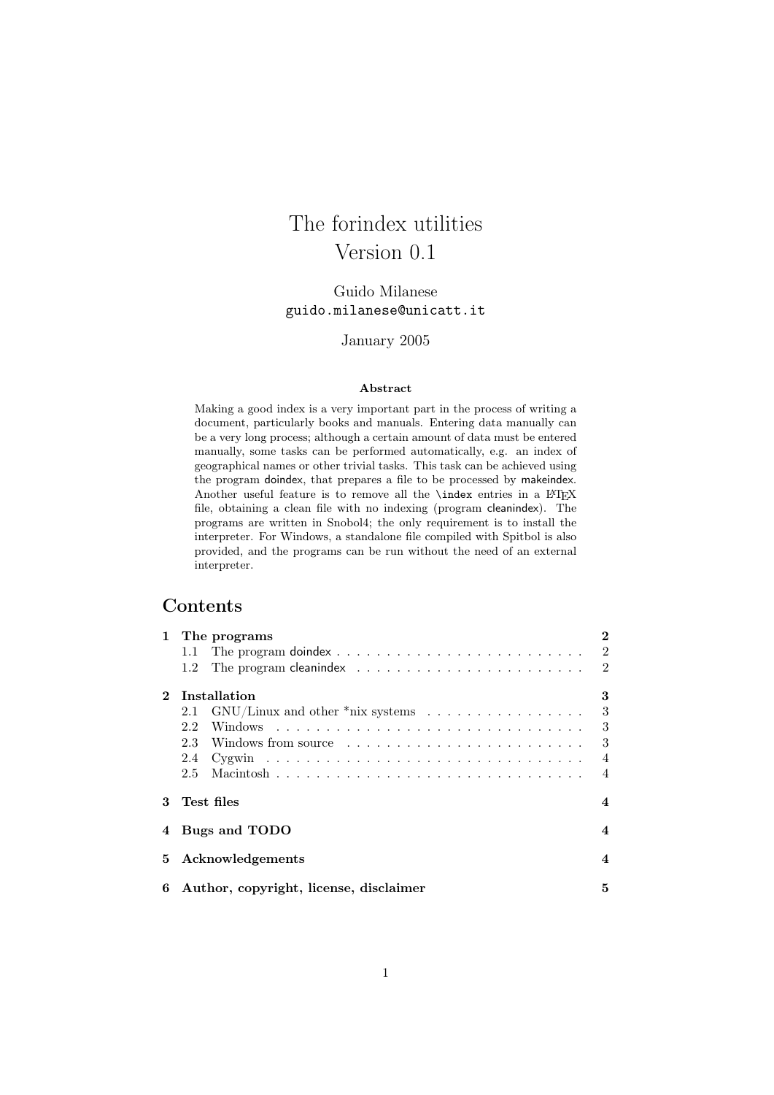# The forindex utilities Version 0.1

## Guido Milanese guido.milanese@unicatt.it

January 2005

#### Abstract

Making a good index is a very important part in the process of writing a document, particularly books and manuals. Entering data manually can be a very long process; although a certain amount of data must be entered manually, some tasks can be performed automatically, e.g. an index of geographical names or other trivial tasks. This task can be achieved using the program doindex, that prepares a file to be processed by makeindex. Another useful feature is to remove all the **\index** entries in a L<sup>A</sup>TEX file, obtaining a clean file with no indexing (program cleanindex). The programs are written in Snobol4; the only requirement is to install the interpreter. For Windows, a standalone file compiled with Spitbol is also provided, and the programs can be run without the need of an external interpreter.

## Contents

| $\mathbf{1}$ | The programs<br>1.1<br>1.2                                                   | $\overline{2}$<br>$\overline{2}$<br>$\overline{2}$ |
|--------------|------------------------------------------------------------------------------|----------------------------------------------------|
| $\mathbf{2}$ | <b>Installation</b>                                                          | 3                                                  |
|              | GNU/Linux and other *nix systems $\ldots \ldots \ldots \ldots \ldots$<br>2.1 | 3                                                  |
|              | 2.2                                                                          | 3                                                  |
|              |                                                                              | 3                                                  |
|              | 2.4                                                                          | $\overline{4}$                                     |
|              | 2.5                                                                          | $\overline{4}$                                     |
| 3            | Test files                                                                   | $\overline{\mathbf{4}}$                            |
|              | 4 Bugs and TODO                                                              | $\overline{\mathbf{4}}$                            |
| 5.           | Acknowledgements                                                             | $\overline{\mathbf{4}}$                            |
| 6            | Author, copyright, license, disclaimer                                       | 5                                                  |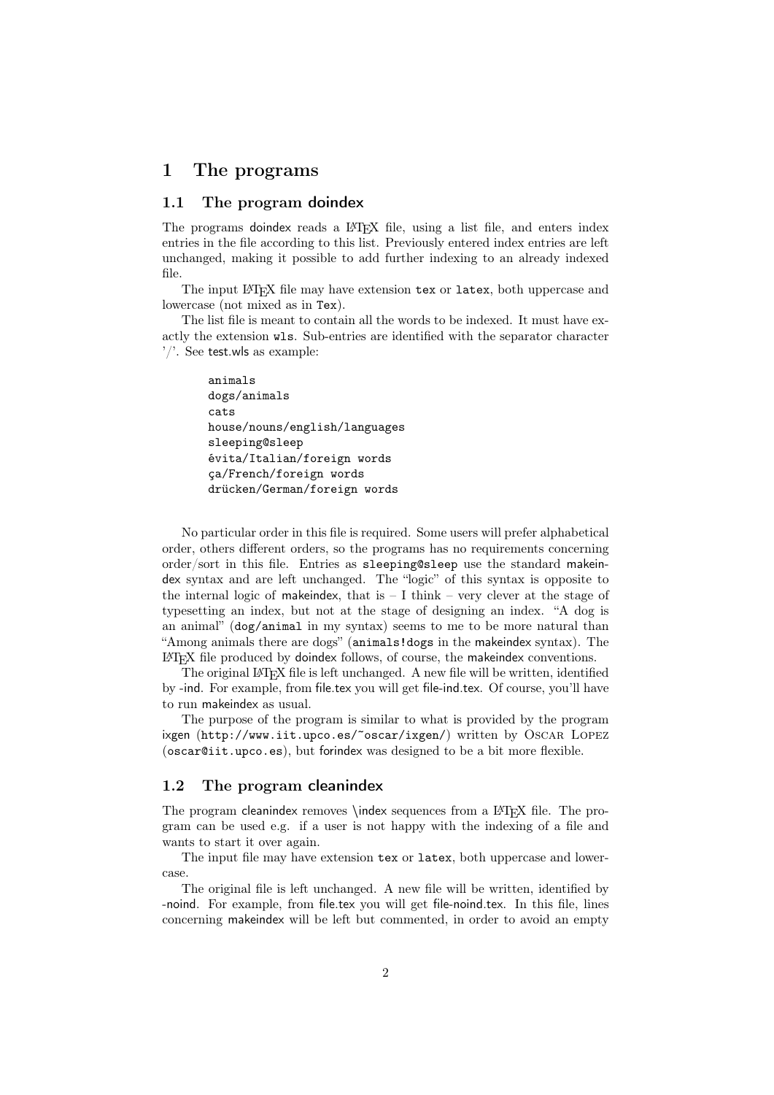## 1 The programs

#### 1.1 The program doindex

The programs doindex reads a LAT<sub>EX</sub> file, using a list file, and enters index entries in the file according to this list. Previously entered index entries are left unchanged, making it possible to add further indexing to an already indexed file.

The input LAT<sub>E</sub>X file may have extension tex or latex, both uppercase and lowercase (not mixed as in Tex).

The list file is meant to contain all the words to be indexed. It must have exactly the extension wls. Sub-entries are identified with the separator character '/'. See test.wls as example:

```
animals
dogs/animals
cats
house/nouns/english/languages
sleeping@sleep
évita/Italian/foreign words
ça/French/foreign words
drücken/German/foreign words
```
No particular order in this file is required. Some users will prefer alphabetical order, others different orders, so the programs has no requirements concerning order/sort in this file. Entries as sleeping@sleep use the standard makeindex syntax and are left unchanged. The "logic" of this syntax is opposite to the internal logic of makeindex, that is  $-1$  think – very clever at the stage of typesetting an index, but not at the stage of designing an index. "A dog is an animal" (dog/animal in my syntax) seems to me to be more natural than "Among animals there are dogs" (animals!dogs in the makeindex syntax). The LATEX file produced by doindex follows, of course, the makeindex conventions.

The original LAT<sub>E</sub>X file is left unchanged. A new file will be written, identified by -ind. For example, from file.tex you will get file-ind.tex. Of course, you'll have to run makeindex as usual.

The purpose of the program is similar to what is provided by the program ixgen (http://www.iit.upco.es/~oscar/ixgen/) written by Oscar Lopez (oscar@iit.upco.es), but forindex was designed to be a bit more flexible.

#### 1.2 The program cleanindex

The program cleanindex removes \index sequences from a LATEX file. The program can be used e.g. if a user is not happy with the indexing of a file and wants to start it over again.

The input file may have extension tex or latex, both uppercase and lowercase.

The original file is left unchanged. A new file will be written, identified by -noind. For example, from file.tex you will get file-noind.tex. In this file, lines concerning makeindex will be left but commented, in order to avoid an empty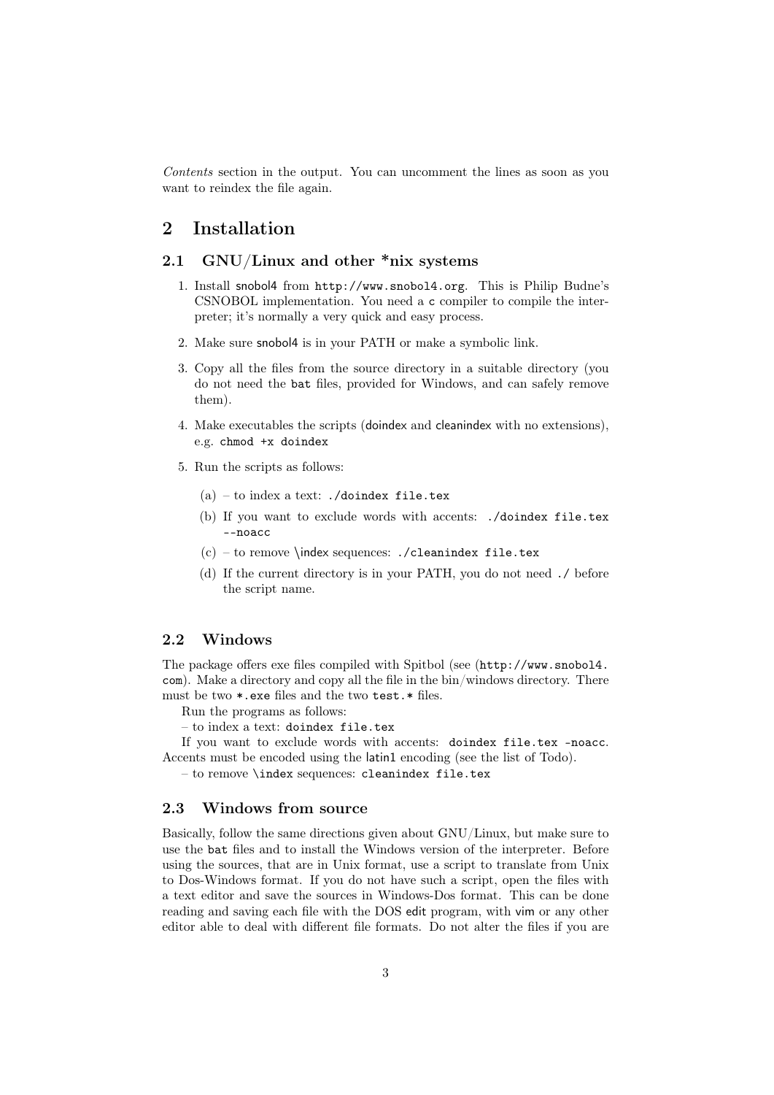Contents section in the output. You can uncomment the lines as soon as you want to reindex the file again.

# 2 Installation

#### 2.1 GNU/Linux and other  $\text{*mix}$  systems

- 1. Install snobol4 from http://www.snobol4.org. This is Philip Budne's CSNOBOL implementation. You need a c compiler to compile the interpreter; it's normally a very quick and easy process.
- 2. Make sure snobol4 is in your PATH or make a symbolic link.
- 3. Copy all the files from the source directory in a suitable directory (you do not need the bat files, provided for Windows, and can safely remove them).
- 4. Make executables the scripts (doindex and cleanindex with no extensions), e.g. chmod +x doindex
- 5. Run the scripts as follows:
	- $(a)$  to index a text: ./doindex file.tex
	- (b) If you want to exclude words with accents: ./doindex file.tex --noacc
	- $(c)$  to remove \index sequences: ./cleanindex file.tex
	- (d) If the current directory is in your PATH, you do not need ./ before the script name.

#### 2.2 Windows

The package offers exe files compiled with Spitbol (see (http://www.snobol4. com). Make a directory and copy all the file in the bin/windows directory. There must be two \*.exe files and the two test.\* files.

Run the programs as follows:

– to index a text: doindex file.tex

If you want to exclude words with accents: doindex file.tex -noacc. Accents must be encoded using the latin1 encoding (see the list of Todo).

– to remove \index sequences: cleanindex file.tex

#### 2.3 Windows from source

Basically, follow the same directions given about GNU/Linux, but make sure to use the bat files and to install the Windows version of the interpreter. Before using the sources, that are in Unix format, use a script to translate from Unix to Dos-Windows format. If you do not have such a script, open the files with a text editor and save the sources in Windows-Dos format. This can be done reading and saving each file with the DOS edit program, with vim or any other editor able to deal with different file formats. Do not alter the files if you are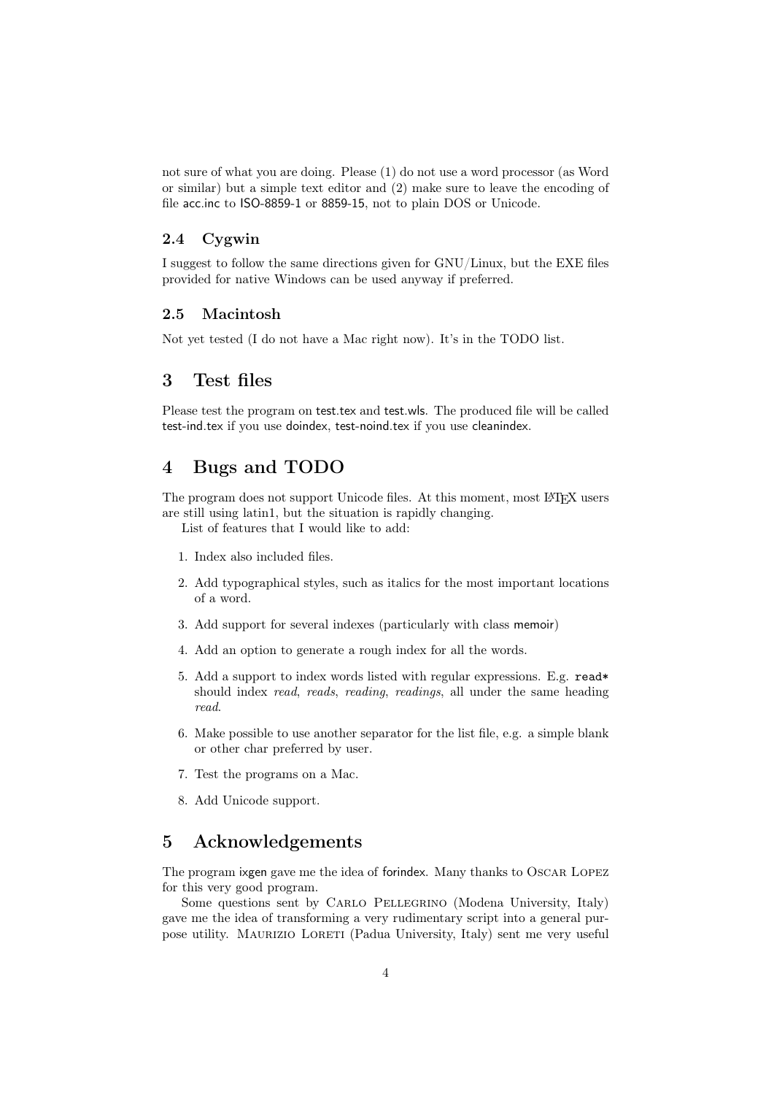not sure of what you are doing. Please (1) do not use a word processor (as Word or similar) but a simple text editor and (2) make sure to leave the encoding of file acc.inc to ISO-8859-1 or 8859-15, not to plain DOS or Unicode.

#### 2.4 Cygwin

I suggest to follow the same directions given for GNU/Linux, but the EXE files provided for native Windows can be used anyway if preferred.

#### 2.5 Macintosh

Not yet tested (I do not have a Mac right now). It's in the TODO list.

## 3 Test files

Please test the program on test.tex and test.wls. The produced file will be called test-ind.tex if you use doindex, test-noind.tex if you use cleanindex.

## 4 Bugs and TODO

The program does not support Unicode files. At this moment, most LATEX users are still using latin1, but the situation is rapidly changing.

List of features that I would like to add:

- 1. Index also included files.
- 2. Add typographical styles, such as italics for the most important locations of a word.
- 3. Add support for several indexes (particularly with class memoir)
- 4. Add an option to generate a rough index for all the words.
- 5. Add a support to index words listed with regular expressions. E.g. read\* should index *read, reads, reading, readings*, all under the same heading read.
- 6. Make possible to use another separator for the list file, e.g. a simple blank or other char preferred by user.
- 7. Test the programs on a Mac.
- 8. Add Unicode support.

## 5 Acknowledgements

The program ixgen gave me the idea of forindex. Many thanks to Oscar Lopez for this very good program.

Some questions sent by CARLO PELLEGRINO (Modena University, Italy) gave me the idea of transforming a very rudimentary script into a general purpose utility. Maurizio Loreti (Padua University, Italy) sent me very useful